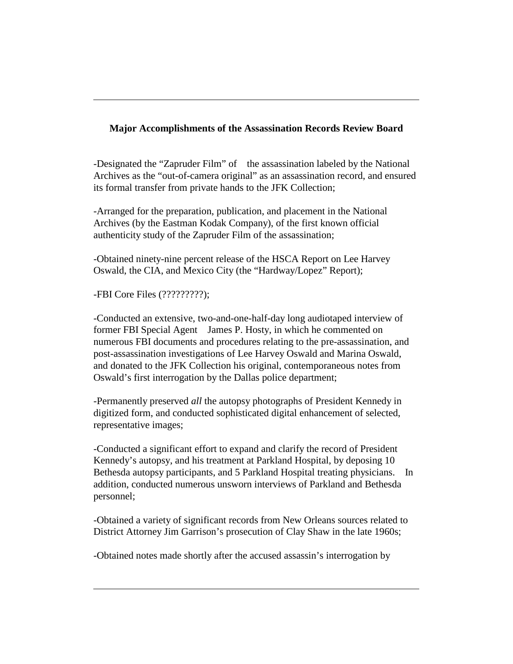## **Major Accomplishments of the Assassination Records Review Board**

-Designated the "Zapruder Film" of the assassination labeled by the National Archives as the "out-of-camera original" as an assassination record, and ensured its formal transfer from private hands to the JFK Collection;

-Arranged for the preparation, publication, and placement in the National Archives (by the Eastman Kodak Company), of the first known official authenticity study of the Zapruder Film of the assassination;

-Obtained ninety-nine percent release of the HSCA Report on Lee Harvey Oswald, the CIA, and Mexico City (the "Hardway/Lopez" Report);

-FBI Core Files (?????????);

-Conducted an extensive, two-and-one-half-day long audiotaped interview of former FBI Special Agent James P. Hosty, in which he commented on numerous FBI documents and procedures relating to the pre-assassination, and post-assassination investigations of Lee Harvey Oswald and Marina Oswald, and donated to the JFK Collection his original, contemporaneous notes from Oswald's first interrogation by the Dallas police department;

-Permanently preserved *all* the autopsy photographs of President Kennedy in digitized form, and conducted sophisticated digital enhancement of selected, representative images;

-Conducted a significant effort to expand and clarify the record of President Kennedy's autopsy, and his treatment at Parkland Hospital, by deposing 10 Bethesda autopsy participants, and 5 Parkland Hospital treating physicians. In addition, conducted numerous unsworn interviews of Parkland and Bethesda personnel;

-Obtained a variety of significant records from New Orleans sources related to District Attorney Jim Garrison's prosecution of Clay Shaw in the late 1960s;

-Obtained notes made shortly after the accused assassin's interrogation by